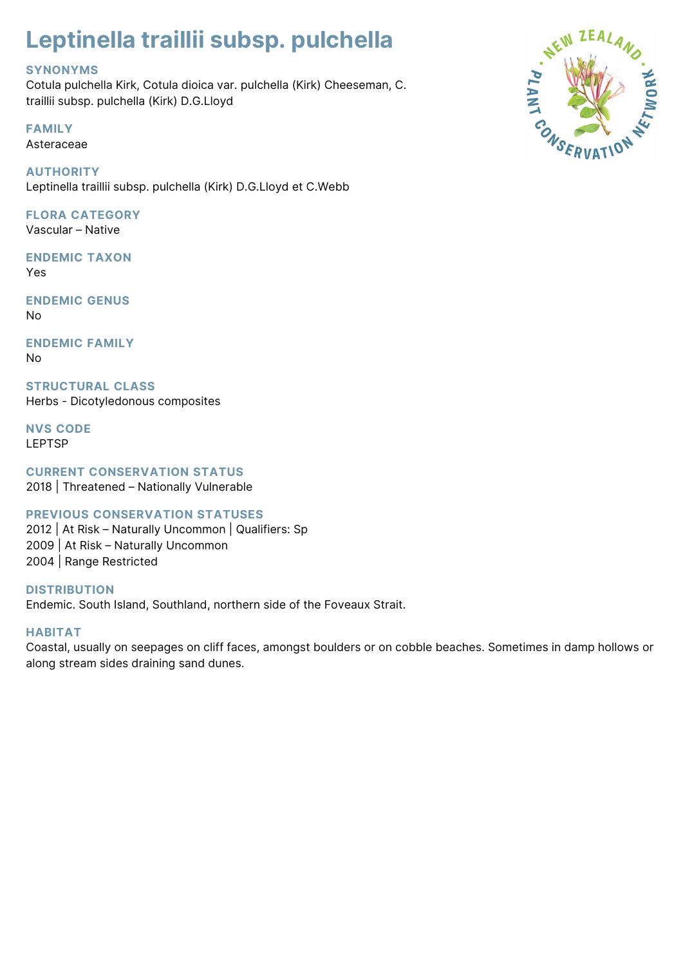# **Leptinella traillii subsp. pulchella**

## **SYNONYMS**

Cotula pulchella Kirk, Cotula dioica var. pulchella (Kirk) Cheeseman, C. traillii subsp. pulchella (Kirk) D.G.Lloyd

**FAMILY** Asteraceae

**AUTHORITY** Leptinella traillii subsp. pulchella (Kirk) D.G.Lloyd et C.Webb

## **FLORA CATEGORY**

Vascular – Native

**ENDEMIC TAXON** Yes

**ENDEMIC GENUS** No

**ENDEMIC FAMILY** No

**STRUCTURAL CLASS** Herbs - Dicotyledonous composites

**NVS CODE** LEPTSP

**CURRENT CONSERVATION STATUS**

2018 | Threatened – Nationally Vulnerable

## **PREVIOUS CONSERVATION STATUSES**

2012 | At Risk – Naturally Uncommon | Qualifiers: Sp 2009 | At Risk – Naturally Uncommon 2004 | Range Restricted

**DISTRIBUTION** Endemic. South Island, Southland, northern side of the Foveaux Strait.

## **HABITAT**

Coastal, usually on seepages on cliff faces, amongst boulders or on cobble beaches. Sometimes in damp hollows or along stream sides draining sand dunes.

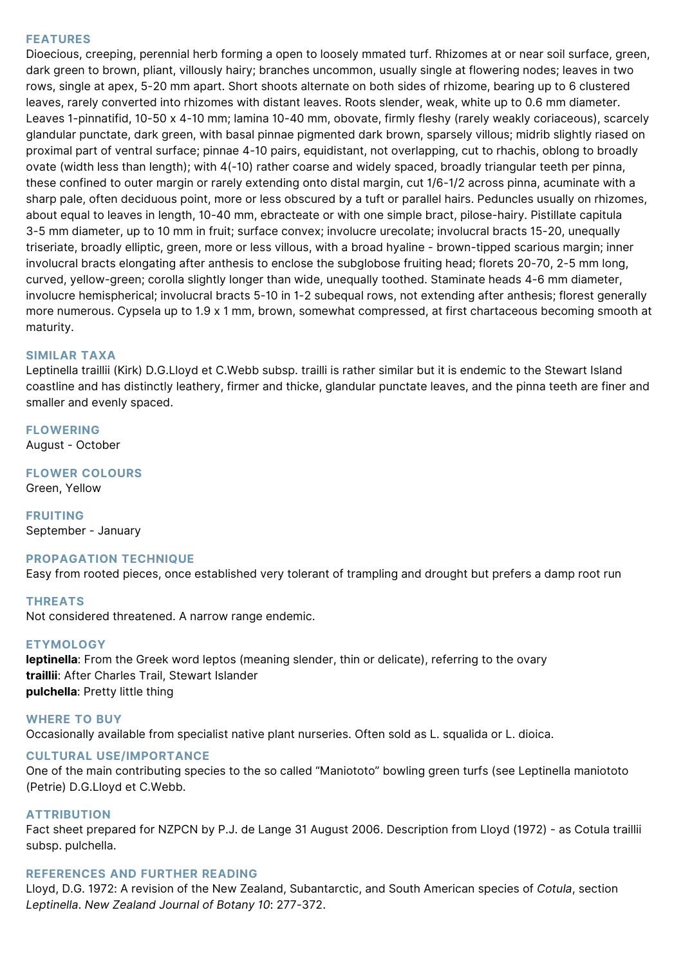#### **FEATURES**

Dioecious, creeping, perennial herb forming a open to loosely mmated turf. Rhizomes at or near soil surface, green, dark green to brown, pliant, villously hairy; branches uncommon, usually single at flowering nodes; leaves in two rows, single at apex, 5-20 mm apart. Short shoots alternate on both sides of rhizome, bearing up to 6 clustered leaves, rarely converted into rhizomes with distant leaves. Roots slender, weak, white up to 0.6 mm diameter. Leaves 1-pinnatifid, 10-50 x 4-10 mm; lamina 10-40 mm, obovate, firmly fleshy (rarely weakly coriaceous), scarcely glandular punctate, dark green, with basal pinnae pigmented dark brown, sparsely villous; midrib slightly riased on proximal part of ventral surface; pinnae 4-10 pairs, equidistant, not overlapping, cut to rhachis, oblong to broadly ovate (width less than length); with 4(-10) rather coarse and widely spaced, broadly triangular teeth per pinna, these confined to outer margin or rarely extending onto distal margin, cut 1/6-1/2 across pinna, acuminate with a sharp pale, often deciduous point, more or less obscured by a tuft or parallel hairs. Peduncles usually on rhizomes, about equal to leaves in length, 10-40 mm, ebracteate or with one simple bract, pilose-hairy. Pistillate capitula 3-5 mm diameter, up to 10 mm in fruit; surface convex; involucre urecolate; involucral bracts 15-20, unequally triseriate, broadly elliptic, green, more or less villous, with a broad hyaline - brown-tipped scarious margin; inner involucral bracts elongating after anthesis to enclose the subglobose fruiting head; florets 20-70, 2-5 mm long, curved, yellow-green; corolla slightly longer than wide, unequally toothed. Staminate heads 4-6 mm diameter, involucre hemispherical; involucral bracts 5-10 in 1-2 subequal rows, not extending after anthesis; florest generally more numerous. Cypsela up to 1.9 x 1 mm, brown, somewhat compressed, at first chartaceous becoming smooth at maturity.

#### **SIMILAR TAXA**

Leptinella traillii (Kirk) D.G.Lloyd et C.Webb subsp. trailli is rather similar but it is endemic to the Stewart Island coastline and has distinctly leathery, firmer and thicke, glandular punctate leaves, and the pinna teeth are finer and smaller and evenly spaced.

#### **FLOWERING**

August - October

## **FLOWER COLOURS**

Green, Yellow

**FRUITING** September - January

#### **PROPAGATION TECHNIQUE**

Easy from rooted pieces, once established very tolerant of trampling and drought but prefers a damp root run

#### **THREATS**

Not considered threatened. A narrow range endemic.

#### **ETYMOLOGY**

**leptinella**: From the Greek word leptos (meaning slender, thin or delicate), referring to the ovary **traillii**: After Charles Trail, Stewart Islander **pulchella**: Pretty little thing

#### **WHERE TO BUY**

Occasionally available from specialist native plant nurseries. Often sold as L. squalida or L. dioica.

#### **CULTURAL USE/IMPORTANCE**

One of the main contributing species to the so called "Maniototo" bowling green turfs (see Leptinella maniototo (Petrie) D.G.Lloyd et C.Webb.

#### **ATTRIBUTION**

Fact sheet prepared for NZPCN by P.J. de Lange 31 August 2006. Description from Lloyd (1972) - as Cotula traillii subsp. pulchella.

#### **REFERENCES AND FURTHER READING**

Lloyd, D.G. 1972: A revision of the New Zealand, Subantarctic, and South American species of *Cotula*, section *Leptinella*. *New Zealand Journal of Botany 10*: 277-372.